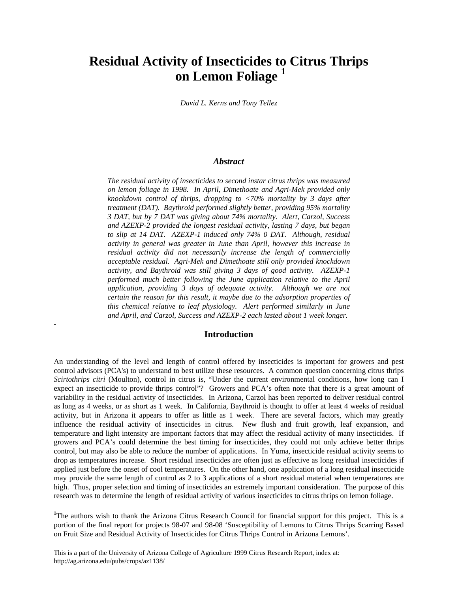# **Residual Activity of Insecticides to Citrus Thrips on Lemon Foliage <sup>1</sup>**

*David L. Kerns and Tony Tellez*

#### *Abstract*

*The residual activity of insecticides to second instar citrus thrips was measured on lemon foliage in 1998. In April, Dimethoate and Agri-Mek provided only knockdown control of thrips, dropping to <70% mortality by 3 days after treatment (DAT). Baythroid performed slightly better, providing 95% mortality 3 DAT, but by 7 DAT was giving about 74% mortality. Alert, Carzol, Success and AZEXP-2 provided the longest residual activity, lasting 7 days, but began to slip at 14 DAT. AZEXP-1 induced only 74% 0 DAT. Although, residual activity in general was greater in June than April, however this increase in residual activity did not necessarily increase the length of commercially acceptable residual. Agri-Mek and Dimethoate still only provided knockdown activity, and Baythroid was still giving 3 days of good activity. AZEXP-1 performed much better following the June application relative to the April application, providing 3 days of adequate activity. Although we are not certain the reason for this result, it maybe due to the adsorption properties of this chemical relative to leaf physiology. Alert performed similarly in June and April, and Carzol, Success and AZEXP-2 each lasted about 1 week longer.*

### **Introduction**

*-*

 $\overline{a}$ 

An understanding of the level and length of control offered by insecticides is important for growers and pest control advisors (PCA's) to understand to best utilize these resources. A common question concerning citrus thrips *Scirtothrips citri* (Moulton), control in citrus is, "Under the current environmental conditions, how long can I expect an insecticide to provide thrips control"? Growers and PCA's often note that there is a great amount of variability in the residual activity of insecticides. In Arizona, Carzol has been reported to deliver residual control as long as 4 weeks, or as short as 1 week. In California, Baythroid is thought to offer at least 4 weeks of residual activity, but in Arizona it appears to offer as little as 1 week. There are several factors, which may greatly influence the residual activity of insecticides in citrus. New flush and fruit growth, leaf expansion, and temperature and light intensity are important factors that may affect the residual activity of many insecticides. If growers and PCA's could determine the best timing for insecticides, they could not only achieve better thrips control, but may also be able to reduce the number of applications. In Yuma, insecticide residual activity seems to drop as temperatures increase. Short residual insecticides are often just as effective as long residual insecticides if applied just before the onset of cool temperatures. On the other hand, one application of a long residual insecticide may provide the same length of control as 2 to 3 applications of a short residual material when temperatures are high. Thus, proper selection and timing of insecticides an extremely important consideration. The purpose of this research was to determine the length of residual activity of various insecticides to citrus thrips on lemon foliage.

<sup>&</sup>lt;sup>1</sup>The authors wish to thank the Arizona Citrus Research Council for financial support for this project. This is a portion of the final report for projects 98-07 and 98-08 'Susceptibility of Lemons to Citrus Thrips Scarring Based on Fruit Size and Residual Activity of Insecticides for Citrus Thrips Control in Arizona Lemons'.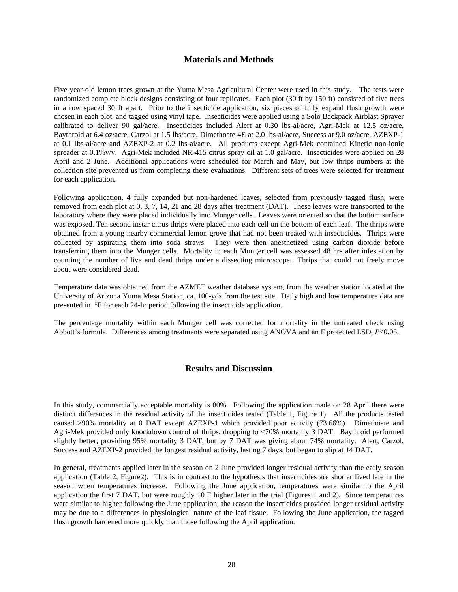## **Materials and Methods**

Five-year-old lemon trees grown at the Yuma Mesa Agricultural Center were used in this study. The tests were randomized complete block designs consisting of four replicates. Each plot (30 ft by 150 ft) consisted of five trees in a row spaced 30 ft apart. Prior to the insecticide application, six pieces of fully expand flush growth were chosen in each plot, and tagged using vinyl tape. Insecticides were applied using a Solo Backpack Airblast Sprayer calibrated to deliver 90 gal/acre. Insecticides included Alert at 0.30 lbs-ai/acre, Agri-Mek at 12.5 oz/acre, Baythroid at 6.4 oz/acre, Carzol at 1.5 lbs/acre, Dimethoate 4E at 2.0 lbs-ai/acre, Success at 9.0 oz/acre, AZEXP-1 at 0.1 lbs-ai/acre and AZEXP-2 at 0.2 lbs-ai/acre. All products except Agri-Mek contained Kinetic non-ionic spreader at 0.1%v/v. Agri-Mek included NR-415 citrus spray oil at 1.0 gal/acre. Insecticides were applied on 28 April and 2 June. Additional applications were scheduled for March and May, but low thrips numbers at the collection site prevented us from completing these evaluations. Different sets of trees were selected for treatment for each application.

Following application, 4 fully expanded but non-hardened leaves, selected from previously tagged flush, were removed from each plot at 0, 3, 7, 14, 21 and 28 days after treatment (DAT). These leaves were transported to the laboratory where they were placed individually into Munger cells. Leaves were oriented so that the bottom surface was exposed. Ten second instar citrus thrips were placed into each cell on the bottom of each leaf. The thrips were obtained from a young nearby commercial lemon grove that had not been treated with insecticides. Thrips were collected by aspirating them into soda straws. They were then anesthetized using carbon dioxide before transferring them into the Munger cells. Mortality in each Munger cell was assessed 48 hrs after infestation by counting the number of live and dead thrips under a dissecting microscope. Thrips that could not freely move about were considered dead.

Temperature data was obtained from the AZMET weather database system, from the weather station located at the University of Arizona Yuma Mesa Station, ca. 100-yds from the test site. Daily high and low temperature data are presented in °F for each 24-hr period following the insecticide application.

The percentage mortality within each Munger cell was corrected for mortality in the untreated check using Abbott's formula. Differences among treatments were separated using ANOVA and an F protected LSD, *P*<0.05.

#### **Results and Discussion**

In this study, commercially acceptable mortality is 80%. Following the application made on 28 April there were distinct differences in the residual activity of the insecticides tested (Table 1, Figure 1). All the products tested caused >90% mortality at 0 DAT except AZEXP-1 which provided poor activity (73.66%). Dimethoate and Agri-Mek provided only knockdown control of thrips, dropping to <70% mortality 3 DAT. Baythroid performed slightly better, providing 95% mortality 3 DAT, but by 7 DAT was giving about 74% mortality. Alert, Carzol, Success and AZEXP-2 provided the longest residual activity, lasting 7 days, but began to slip at 14 DAT.

In general, treatments applied later in the season on 2 June provided longer residual activity than the early season application (Table 2, Figure2). This is in contrast to the hypothesis that insecticides are shorter lived late in the season when temperatures increase. Following the June application, temperatures were similar to the April application the first 7 DAT, but were roughly 10 F higher later in the trial (Figures 1 and 2). Since temperatures were similar to higher following the June application, the reason the insecticides provided longer residual activity may be due to a differences in physiological nature of the leaf tissue. Following the June application, the tagged flush growth hardened more quickly than those following the April application.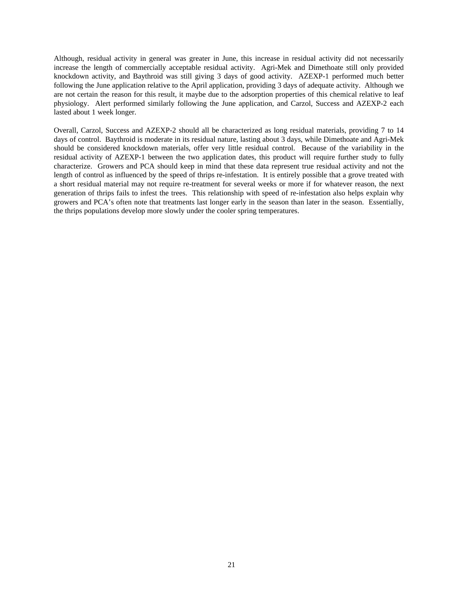Although, residual activity in general was greater in June, this increase in residual activity did not necessarily increase the length of commercially acceptable residual activity. Agri-Mek and Dimethoate still only provided knockdown activity, and Baythroid was still giving 3 days of good activity. AZEXP-1 performed much better following the June application relative to the April application, providing 3 days of adequate activity. Although we are not certain the reason for this result, it maybe due to the adsorption properties of this chemical relative to leaf physiology. Alert performed similarly following the June application, and Carzol, Success and AZEXP-2 each lasted about 1 week longer.

Overall, Carzol, Success and AZEXP-2 should all be characterized as long residual materials, providing 7 to 14 days of control. Baythroid is moderate in its residual nature, lasting about 3 days, while Dimethoate and Agri-Mek should be considered knockdown materials, offer very little residual control. Because of the variability in the residual activity of AZEXP-1 between the two application dates, this product will require further study to fully characterize. Growers and PCA should keep in mind that these data represent true residual activity and not the length of control as influenced by the speed of thrips re-infestation. It is entirely possible that a grove treated with a short residual material may not require re-treatment for several weeks or more if for whatever reason, the next generation of thrips fails to infest the trees. This relationship with speed of re-infestation also helps explain why growers and PCA's often note that treatments last longer early in the season than later in the season. Essentially, the thrips populations develop more slowly under the cooler spring temperatures.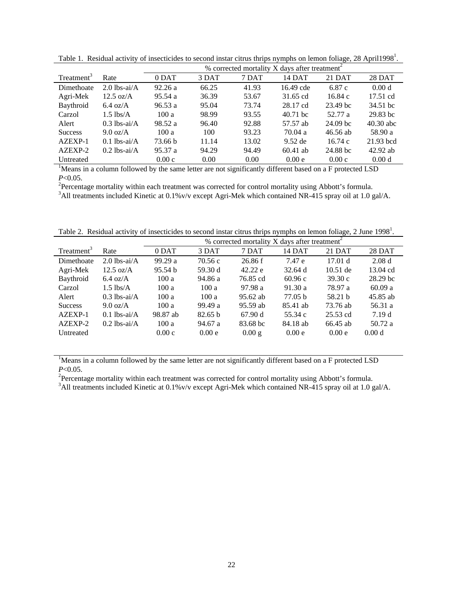|                        |                     | % corrected mortality X days after treatment <sup>2</sup> |       |       |            |                     |                   |  |
|------------------------|---------------------|-----------------------------------------------------------|-------|-------|------------|---------------------|-------------------|--|
| Treatment <sup>3</sup> | Rate                | 0 DAT                                                     | 3 DAT | 7 DAT | 14 DAT     | 21 DAT              | 28 DAT            |  |
| Dimethoate             | $2.0$ lbs-ai/A      | 92.26a                                                    | 66.25 | 41.93 | 16.49 cde  | 6.87c               | 0.00 <sub>d</sub> |  |
| Agri-Mek               | $12.5 \text{ oz/A}$ | 95.54a                                                    | 36.39 | 53.67 | 31.65 cd   | 16.84c              | 17.51 cd          |  |
| Baythroid              | $6.4 \text{ oz/A}$  | 96.53a                                                    | 95.04 | 73.74 | 28.17 cd   | 23.49 bc            | 34.51 bc          |  |
| Carzol                 | $1.5$ lbs/A         | 100a                                                      | 98.99 | 93.55 | $40.71$ bc | 52.77 a             | 29.83 bc          |  |
| Alert                  | $0.3$ lbs-ai/A      | 98.52 a                                                   | 96.40 | 92.88 | 57.57 ab   | 24.09 <sub>bc</sub> | $40.30$ abc       |  |
| <b>Success</b>         | $9.0 \text{ oz/A}$  | 100a                                                      | 100   | 93.23 | 70.04a     | $46.56$ ab          | 58.90 a           |  |
| AZEXP-1                | $0.1$ lbs-ai/A      | 73.66 b                                                   | 11.14 | 13.02 | $9.52$ de  | 16.74c              | 21.93 bcd         |  |
| AZEXP-2                | $0.2$ lbs-ai/A      | 95.37a                                                    | 94.29 | 94.49 | $60.41$ ab | 24.88 bc            | $42.92$ ab        |  |
| Untreated              |                     | 0.00c                                                     | 0.00  | 0.00  | 0.00e      | 0.00c               | 0.00 <sub>d</sub> |  |

Table 1. Residual activity of insecticides to second instar citrus thrips nymphs on lemon foliage, 28 April1998<sup>1</sup>.

<sup>1</sup>Means in a column followed by the same letter are not significantly different based on a F protected LSD *P*<0.05.

<sup>2</sup>Percentage mortality within each treatment was corrected for control mortality using Abbott's formula.

<sup>3</sup>All treatments included Kinetic at 0.1%v/v except Agri-Mek which contained NR-415 spray oil at 1.0 gal/A.

Table 2. Residual activity of insecticides to second instar citrus thrips nymphs on lemon foliage, 2 June 1998<sup>1</sup>.

|                        |                     | % corrected mortality X days after treatment <sup>2</sup> |         |            |                   |                    |               |  |  |
|------------------------|---------------------|-----------------------------------------------------------|---------|------------|-------------------|--------------------|---------------|--|--|
| Treatment <sup>3</sup> | Rate                | 0 DAT                                                     | 3 DAT   | 7 DAT      | 14 DAT            | 21 DAT             | <b>28 DAT</b> |  |  |
| Dimethoate             | $2.0$ lbs-ai/A      | 99.29a                                                    | 70.56c  | 26.86 f    | 7.47 e            | 17.01 <sub>d</sub> | 2.08d         |  |  |
| Agri-Mek               | $12.5 \text{ oz/A}$ | 95.54 b                                                   | 59.30 d | 42.22 e    | $32.64 \text{ d}$ | $10.51$ de         | 13.04 cd      |  |  |
| Baythroid              | $6.4 \text{ oz/A}$  | 100a                                                      | 94.86 a | 76.85 cd   | 60.96c            | 39.30c             | 28.29 bc      |  |  |
| Carzol                 | $1.5$ lbs/A         | 100a                                                      | 100a    | 97.98a     | 91.30a            | 78.97 a            | 60.09a        |  |  |
| Alert                  | $0.3$ lbs-ai/A      | 100a                                                      | 100a    | $95.62$ ab | 77.05 h           | 58.21 b            | 45.85 ab      |  |  |
| <b>Success</b>         | $9.0 \text{ oz/A}$  | 100a                                                      | 99.49a  | 95.59 ab   | 85.41 ab          | 73.76 ab           | 56.31 a       |  |  |
| AZEXP-1                | $0.1$ lbs-ai/A      | 98.87 ab                                                  | 82.65 b | 67.90 d    | 55.34 c           | $25.53$ cd         | 7.19d         |  |  |
| AZEXP-2                | $0.2$ lbs-ai/A      | 100a                                                      | 94.67 a | 83.68 bc   | 84.18 ab          | 66.45 ab           | 50.72 a       |  |  |
| Untreated              |                     | 0.00c                                                     | 0.00 e  | 0.00 g     | 0.00e             | 0.00e              | 0.00 d        |  |  |

<sup>1</sup>Means in a column followed by the same letter are not significantly different based on a F protected LSD *P*<0.05.

<sup>2</sup>Percentage mortality within each treatment was corrected for control mortality using Abbott's formula.

<sup>3</sup>All treatments included Kinetic at 0.1%v/v except Agri-Mek which contained NR-415 spray oil at 1.0 gal/A.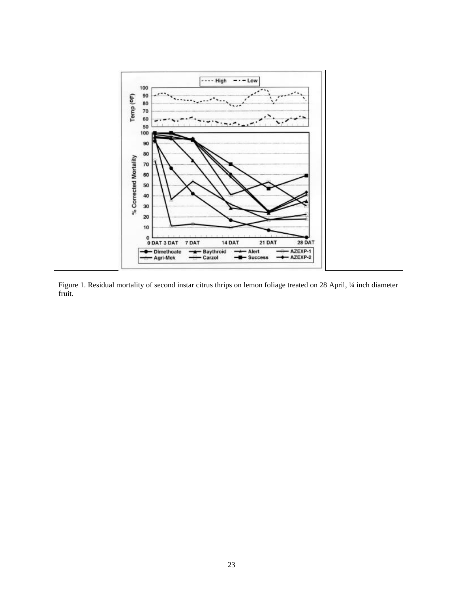

Figure 1. Residual mortality of second instar citrus thrips on lemon foliage treated on 28 April, ¼ inch diameter fruit.